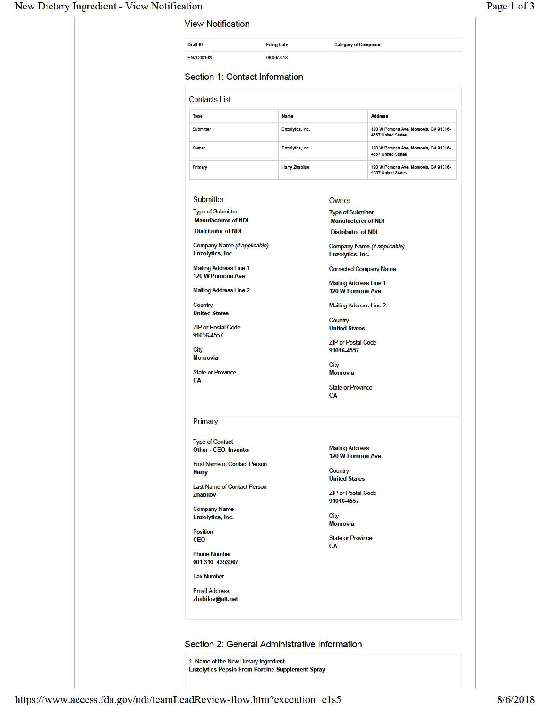#### New Dietary Ingredient - View Notification

| Section 1: Contact Information<br><b>Address</b><br>Enzolytics, Inc.<br>120 W Pomona Ave, Monrovia, CA 91016-<br><b>4557 United States</b><br>Enzolytics, Inc.<br>120 W Pomona Ave, Monrovia, CA 91016-<br><b>4557 United States</b><br>120 W Pomona Ave, Monrovia, CA 91016-<br>Harry Zhabilov<br><b>4557 United States</b><br>Owner<br><b>Type of Submitter</b><br><b>Manufacturer of NDI</b><br><b>Distributor of NDI</b><br>Company Name (if applicable)<br>Enzolytics, Inc.<br><b>Corrected Company Name</b><br><b>Mailing Address Line 1</b><br>120 W Pomona Ave<br><b>Mailing Address Line 2</b><br>Country<br><b>United States</b> |
|--------------------------------------------------------------------------------------------------------------------------------------------------------------------------------------------------------------------------------------------------------------------------------------------------------------------------------------------------------------------------------------------------------------------------------------------------------------------------------------------------------------------------------------------------------------------------------------------------------------------------------------------|
|                                                                                                                                                                                                                                                                                                                                                                                                                                                                                                                                                                                                                                            |
|                                                                                                                                                                                                                                                                                                                                                                                                                                                                                                                                                                                                                                            |
|                                                                                                                                                                                                                                                                                                                                                                                                                                                                                                                                                                                                                                            |
|                                                                                                                                                                                                                                                                                                                                                                                                                                                                                                                                                                                                                                            |
|                                                                                                                                                                                                                                                                                                                                                                                                                                                                                                                                                                                                                                            |
|                                                                                                                                                                                                                                                                                                                                                                                                                                                                                                                                                                                                                                            |
|                                                                                                                                                                                                                                                                                                                                                                                                                                                                                                                                                                                                                                            |
|                                                                                                                                                                                                                                                                                                                                                                                                                                                                                                                                                                                                                                            |
|                                                                                                                                                                                                                                                                                                                                                                                                                                                                                                                                                                                                                                            |
|                                                                                                                                                                                                                                                                                                                                                                                                                                                                                                                                                                                                                                            |
|                                                                                                                                                                                                                                                                                                                                                                                                                                                                                                                                                                                                                                            |
|                                                                                                                                                                                                                                                                                                                                                                                                                                                                                                                                                                                                                                            |
|                                                                                                                                                                                                                                                                                                                                                                                                                                                                                                                                                                                                                                            |
|                                                                                                                                                                                                                                                                                                                                                                                                                                                                                                                                                                                                                                            |
|                                                                                                                                                                                                                                                                                                                                                                                                                                                                                                                                                                                                                                            |
|                                                                                                                                                                                                                                                                                                                                                                                                                                                                                                                                                                                                                                            |
| <b>ZIP or Postal Code</b>                                                                                                                                                                                                                                                                                                                                                                                                                                                                                                                                                                                                                  |
| 91016-4557                                                                                                                                                                                                                                                                                                                                                                                                                                                                                                                                                                                                                                 |
| City<br><b>Monrovia</b>                                                                                                                                                                                                                                                                                                                                                                                                                                                                                                                                                                                                                    |
| <b>State or Province</b><br>CA                                                                                                                                                                                                                                                                                                                                                                                                                                                                                                                                                                                                             |
|                                                                                                                                                                                                                                                                                                                                                                                                                                                                                                                                                                                                                                            |
|                                                                                                                                                                                                                                                                                                                                                                                                                                                                                                                                                                                                                                            |
| <b>Mailing Address</b><br>120 W Pomona Ave                                                                                                                                                                                                                                                                                                                                                                                                                                                                                                                                                                                                 |
| Country<br><b>United States</b>                                                                                                                                                                                                                                                                                                                                                                                                                                                                                                                                                                                                            |
| <b>ZIP or Postal Code</b>                                                                                                                                                                                                                                                                                                                                                                                                                                                                                                                                                                                                                  |
| 91016-4557                                                                                                                                                                                                                                                                                                                                                                                                                                                                                                                                                                                                                                 |
| City                                                                                                                                                                                                                                                                                                                                                                                                                                                                                                                                                                                                                                       |
| <b>Monrovia</b>                                                                                                                                                                                                                                                                                                                                                                                                                                                                                                                                                                                                                            |
| <b>State or Province</b><br>CA                                                                                                                                                                                                                                                                                                                                                                                                                                                                                                                                                                                                             |
|                                                                                                                                                                                                                                                                                                                                                                                                                                                                                                                                                                                                                                            |
|                                                                                                                                                                                                                                                                                                                                                                                                                                                                                                                                                                                                                                            |
|                                                                                                                                                                                                                                                                                                                                                                                                                                                                                                                                                                                                                                            |
| Section 2: General Administrative Information                                                                                                                                                                                                                                                                                                                                                                                                                                                                                                                                                                                              |
| <b>Enzolytics Pepsin From Porcine Supplement Spray</b>                                                                                                                                                                                                                                                                                                                                                                                                                                                                                                                                                                                     |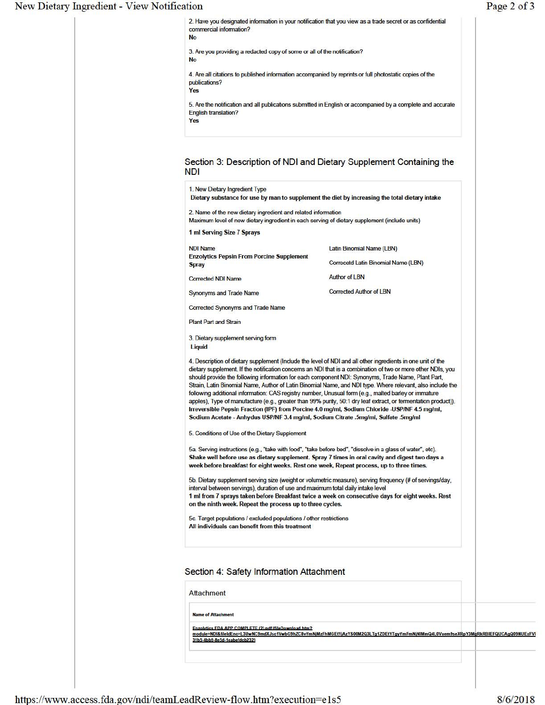#### New Dietary Ingredien

|                                                                                                                                               | 2. Have you designated information in your notification that you view as a trade secret or as confidential                                                                                                                                                                                                                                                                                                                                                                                                                                                                                                                                                                                                                                                                                                                                                       | Page 2 of 3 |
|-----------------------------------------------------------------------------------------------------------------------------------------------|------------------------------------------------------------------------------------------------------------------------------------------------------------------------------------------------------------------------------------------------------------------------------------------------------------------------------------------------------------------------------------------------------------------------------------------------------------------------------------------------------------------------------------------------------------------------------------------------------------------------------------------------------------------------------------------------------------------------------------------------------------------------------------------------------------------------------------------------------------------|-------------|
| commercial information?<br><b>No</b>                                                                                                          |                                                                                                                                                                                                                                                                                                                                                                                                                                                                                                                                                                                                                                                                                                                                                                                                                                                                  |             |
| 3. Are you providing a redacted copy of some or all of the notification?<br><b>No</b>                                                         |                                                                                                                                                                                                                                                                                                                                                                                                                                                                                                                                                                                                                                                                                                                                                                                                                                                                  |             |
| publications?<br>Yes                                                                                                                          | 4. Are all citations to published information accompanied by reprints or full photostatic copies of the                                                                                                                                                                                                                                                                                                                                                                                                                                                                                                                                                                                                                                                                                                                                                          |             |
| <b>English translation?</b><br>Yes                                                                                                            | 5. Are the notification and all publications submitted in English or accompanied by a complete and accurate                                                                                                                                                                                                                                                                                                                                                                                                                                                                                                                                                                                                                                                                                                                                                      |             |
| <b>NDI</b>                                                                                                                                    | Section 3: Description of NDI and Dietary Supplement Containing the                                                                                                                                                                                                                                                                                                                                                                                                                                                                                                                                                                                                                                                                                                                                                                                              |             |
| 1. New Dietary Ingredient Type                                                                                                                | Dietary substance for use by man to supplement the diet by increasing the total dietary intake                                                                                                                                                                                                                                                                                                                                                                                                                                                                                                                                                                                                                                                                                                                                                                   |             |
| 2. Name of the new dietary ingredient and related information                                                                                 | Maximum level of new dietary ingredient in each serving of dietary supplement (include units)                                                                                                                                                                                                                                                                                                                                                                                                                                                                                                                                                                                                                                                                                                                                                                    |             |
| 1 ml Serving Size 7 Sprays                                                                                                                    |                                                                                                                                                                                                                                                                                                                                                                                                                                                                                                                                                                                                                                                                                                                                                                                                                                                                  |             |
| <b>NDI Name</b>                                                                                                                               | Latin Binomial Name (LBN)                                                                                                                                                                                                                                                                                                                                                                                                                                                                                                                                                                                                                                                                                                                                                                                                                                        |             |
| <b>Enzolytics Pepsin From Porcine Supplement</b><br><b>Spray</b>                                                                              | Correcetd Latin Binomial Name (LBN)                                                                                                                                                                                                                                                                                                                                                                                                                                                                                                                                                                                                                                                                                                                                                                                                                              |             |
| <b>Corrected NDI Name</b>                                                                                                                     | <b>Author of LBN</b>                                                                                                                                                                                                                                                                                                                                                                                                                                                                                                                                                                                                                                                                                                                                                                                                                                             |             |
| Synonyms and Trade Name                                                                                                                       | <b>Corrected Author of LBN</b>                                                                                                                                                                                                                                                                                                                                                                                                                                                                                                                                                                                                                                                                                                                                                                                                                                   |             |
| Corrected Synonyms and Trade Name                                                                                                             |                                                                                                                                                                                                                                                                                                                                                                                                                                                                                                                                                                                                                                                                                                                                                                                                                                                                  |             |
| <b>Plant Part and Strain</b>                                                                                                                  |                                                                                                                                                                                                                                                                                                                                                                                                                                                                                                                                                                                                                                                                                                                                                                                                                                                                  |             |
| 3. Dietary supplement serving form<br>Liquid                                                                                                  |                                                                                                                                                                                                                                                                                                                                                                                                                                                                                                                                                                                                                                                                                                                                                                                                                                                                  |             |
|                                                                                                                                               | 4. Description of dietary supplement (Include the level of NDI and all other ingredients in one unit of the<br>dietary supplement. If the notification concerns an NDI that is a combination of two or more other NDIs, you<br>should provide the following information for each component NDI: Synonyms, Trade Name, Plant Part,<br>Strain, Latin Binomial Name, Author of Latin Binomial Name, and NDI type. Where relevant, also include the<br>following additional information: CAS registry number, Unusual form (e.g., malted barley or immature<br>apples), Type of manufacture (e.g., greater than 99% purity, 50:1 dry leaf extract, or fermentation product)).<br>Irreversible Pepsin Fraction (IPF) from Porcine 4.0 mg/ml, Sodium Chloride -USP/NF 4.5 mg/ml,<br>Sodium Acetate - Anhydus USP/NF 3.4 mg/ml, Sodium Citrate .5mg/ml, Sulfate .5mg/ml |             |
| 5. Conditions of Use of the Dietary Supplement                                                                                                |                                                                                                                                                                                                                                                                                                                                                                                                                                                                                                                                                                                                                                                                                                                                                                                                                                                                  |             |
|                                                                                                                                               | 5a. Serving instructions (e.g., "take with food", "take before bed", "dissolve in a glass of water", etc).<br>Shake well before use as dietary supplement. Spray 7 times in oral cavity and digest two days a<br>week before breakfast for eight weeks. Rest one week, Repeat process, up to three times.                                                                                                                                                                                                                                                                                                                                                                                                                                                                                                                                                        |             |
| interval between servings), duration of use and maximum total daily intake level<br>on the ninth week. Repeat the process up to three cycles. | 5b. Dietary supplement serving size (weight or volumetric measure), serving frequency (# of servings/day,<br>1 ml from 7 sprays taken before Breakfast twice a week on consecutive days for eight weeks. Rest                                                                                                                                                                                                                                                                                                                                                                                                                                                                                                                                                                                                                                                    |             |
| 5c. Target populations / excluded populations / other restrictions<br>All individuals can benefit from this treatment                         |                                                                                                                                                                                                                                                                                                                                                                                                                                                                                                                                                                                                                                                                                                                                                                                                                                                                  |             |
| Section 4: Safety Information Attachment                                                                                                      |                                                                                                                                                                                                                                                                                                                                                                                                                                                                                                                                                                                                                                                                                                                                                                                                                                                                  |             |
| <b>Attachment</b>                                                                                                                             |                                                                                                                                                                                                                                                                                                                                                                                                                                                                                                                                                                                                                                                                                                                                                                                                                                                                  |             |
|                                                                                                                                               |                                                                                                                                                                                                                                                                                                                                                                                                                                                                                                                                                                                                                                                                                                                                                                                                                                                                  |             |
| <b>Name of Attachment</b>                                                                                                                     |                                                                                                                                                                                                                                                                                                                                                                                                                                                                                                                                                                                                                                                                                                                                                                                                                                                                  |             |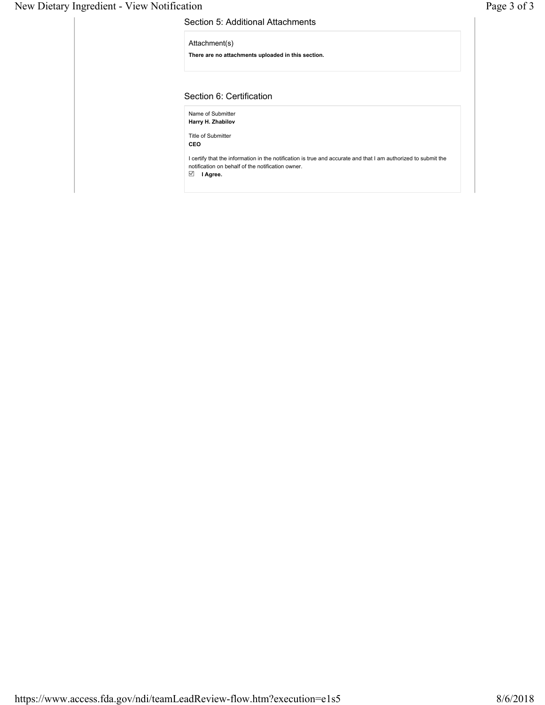#### New Dietary Ingredient - View Notification Page 3 of 3

| There are no attachments uploaded in this section.<br>Section 6: Certification<br>Name of Submitter<br>Harry H. Zhabilov<br><b>Title of Submitter</b>               | Attachment(s) |  |
|---------------------------------------------------------------------------------------------------------------------------------------------------------------------|---------------|--|
|                                                                                                                                                                     |               |  |
|                                                                                                                                                                     |               |  |
|                                                                                                                                                                     |               |  |
|                                                                                                                                                                     |               |  |
|                                                                                                                                                                     | <b>CEO</b>    |  |
| I certify that the information in the notification is true and accurate and that I am authorized to submit the<br>notification on behalf of the notification owner. |               |  |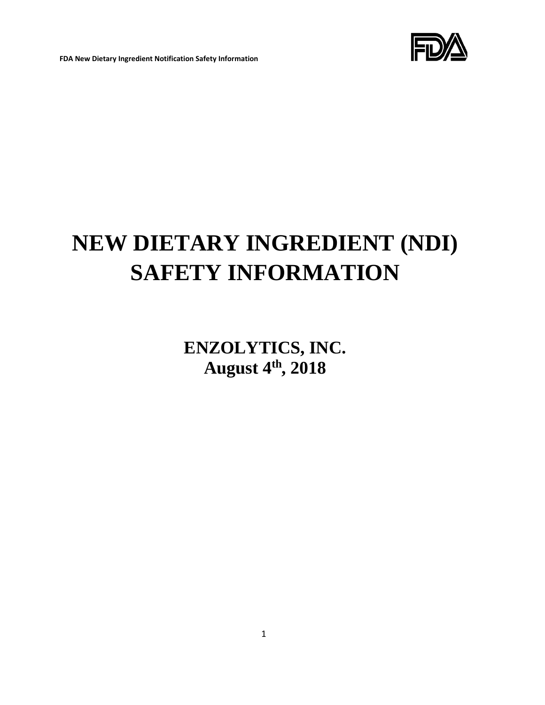

## **NEW DIETARY INGREDIENT (NDI) SAFETY INFORMATION**

**ENZOLYTICS, INC. August 4th, 2018**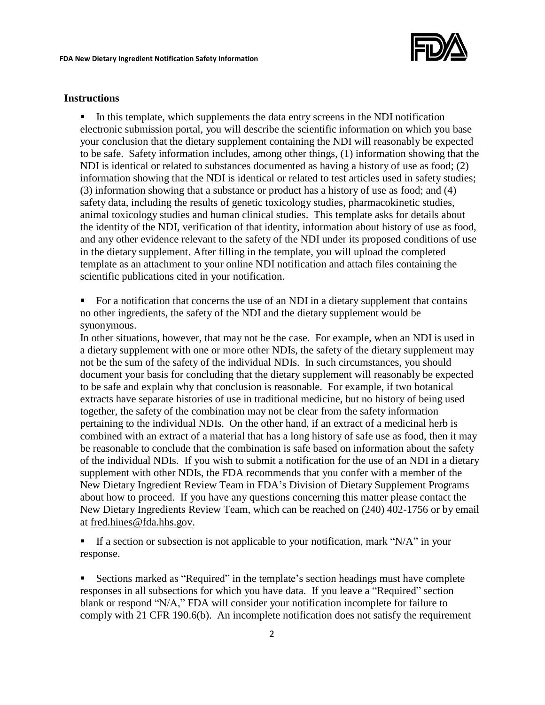

#### **Instructions**

▪ In this template, which supplements the data entry screens in the NDI notification electronic submission portal, you will describe the scientific information on which you base your conclusion that the dietary supplement containing the NDI will reasonably be expected to be safe. Safety information includes, among other things, (1) information showing that the NDI is identical or related to substances documented as having a history of use as food; (2) information showing that the NDI is identical or related to test articles used in safety studies; (3) information showing that a substance or product has a history of use as food; and (4) safety data, including the results of genetic toxicology studies, pharmacokinetic studies, animal toxicology studies and human clinical studies. This template asks for details about the identity of the NDI, verification of that identity, information about history of use as food, and any other evidence relevant to the safety of the NDI under its proposed conditions of use in the dietary supplement. After filling in the template, you will upload the completed template as an attachment to your online NDI notification and attach files containing the scientific publications cited in your notification.

▪ For a notification that concerns the use of an NDI in a dietary supplement that contains no other ingredients, the safety of the NDI and the dietary supplement would be synonymous.

In other situations, however, that may not be the case. For example, when an NDI is used in a dietary supplement with one or more other NDIs, the safety of the dietary supplement may not be the sum of the safety of the individual NDIs. In such circumstances, you should document your basis for concluding that the dietary supplement will reasonably be expected to be safe and explain why that conclusion is reasonable. For example, if two botanical extracts have separate histories of use in traditional medicine, but no history of being used together, the safety of the combination may not be clear from the safety information pertaining to the individual NDIs. On the other hand, if an extract of a medicinal herb is combined with an extract of a material that has a long history of safe use as food, then it may be reasonable to conclude that the combination is safe based on information about the safety of the individual NDIs. If you wish to submit a notification for the use of an NDI in a dietary supplement with other NDIs, the FDA recommends that you confer with a member of the New Dietary Ingredient Review Team in FDA's Division of Dietary Supplement Programs about how to proceed. If you have any questions concerning this matter please contact the New Dietary Ingredients Review Team, which can be reached on (240) 402-1756 or by email at fred.hines@fda.hhs.gov.

**If a section or subsection is not applicable to your notification, mark "N/A" in your** response.

**EXECT** Sections marked as "Required" in the template's section headings must have complete responses in all subsections for which you have data. If you leave a "Required" section blank or respond "N/A," FDA will consider your notification incomplete for failure to comply with 21 CFR 190.6(b). An incomplete notification does not satisfy the requirement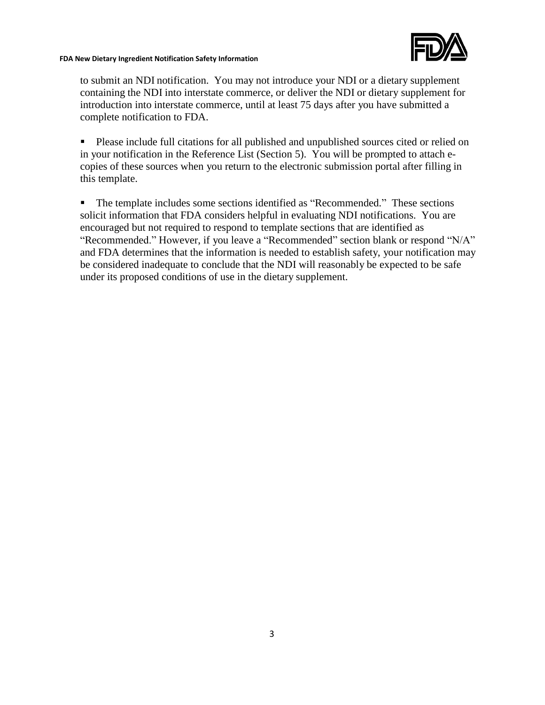

to submit an NDI notification. You may not introduce your NDI or a dietary supplement containing the NDI into interstate commerce, or deliver the NDI or dietary supplement for introduction into interstate commerce, until at least 75 days after you have submitted a complete notification to FDA.

■ Please include full citations for all published and unpublished sources cited or relied on in your notification in the Reference List (Section 5). You will be prompted to attach ecopies of these sources when you return to the electronic submission portal after filling in this template.

■ The template includes some sections identified as "Recommended." These sections solicit information that FDA considers helpful in evaluating NDI notifications. You are encouraged but not required to respond to template sections that are identified as "Recommended." However, if you leave a "Recommended" section blank or respond "N/A" and FDA determines that the information is needed to establish safety, your notification may be considered inadequate to conclude that the NDI will reasonably be expected to be safe under its proposed conditions of use in the dietary supplement.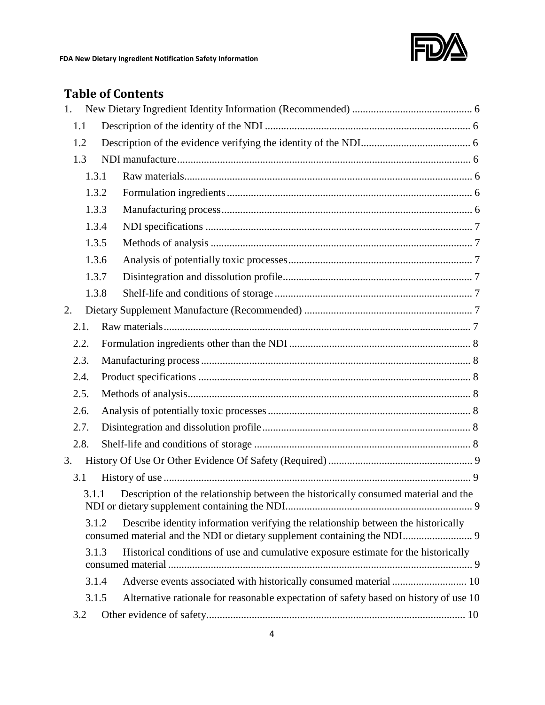

#### **Table of Contents**

| 1. |       |                                                                                       |  |
|----|-------|---------------------------------------------------------------------------------------|--|
|    | 1.1   |                                                                                       |  |
|    | 1.2   |                                                                                       |  |
|    | 1.3   |                                                                                       |  |
|    | 1.3.1 |                                                                                       |  |
|    | 1.3.2 |                                                                                       |  |
|    | 1.3.3 |                                                                                       |  |
|    | 1.3.4 |                                                                                       |  |
|    | 1.3.5 |                                                                                       |  |
|    | 1.3.6 |                                                                                       |  |
|    | 1.3.7 |                                                                                       |  |
|    | 1.3.8 |                                                                                       |  |
| 2. |       |                                                                                       |  |
|    | 2.1.  |                                                                                       |  |
|    | 2.2.  |                                                                                       |  |
|    | 2.3.  |                                                                                       |  |
|    | 2.4.  |                                                                                       |  |
|    | 2.5.  |                                                                                       |  |
|    | 2.6.  |                                                                                       |  |
|    | 2.7.  |                                                                                       |  |
|    | 2.8.  |                                                                                       |  |
| 3. |       |                                                                                       |  |
|    | 3.1   |                                                                                       |  |
|    | 3.1.1 | Description of the relationship between the historically consumed material and the    |  |
|    | 3.1.2 | Describe identity information verifying the relationship between the historically     |  |
|    | 3.1.3 | Historical conditions of use and cumulative exposure estimate for the historically    |  |
|    | 3.1.4 | Adverse events associated with historically consumed material  10                     |  |
|    | 3.1.5 | Alternative rationale for reasonable expectation of safety based on history of use 10 |  |
|    | 3.2   |                                                                                       |  |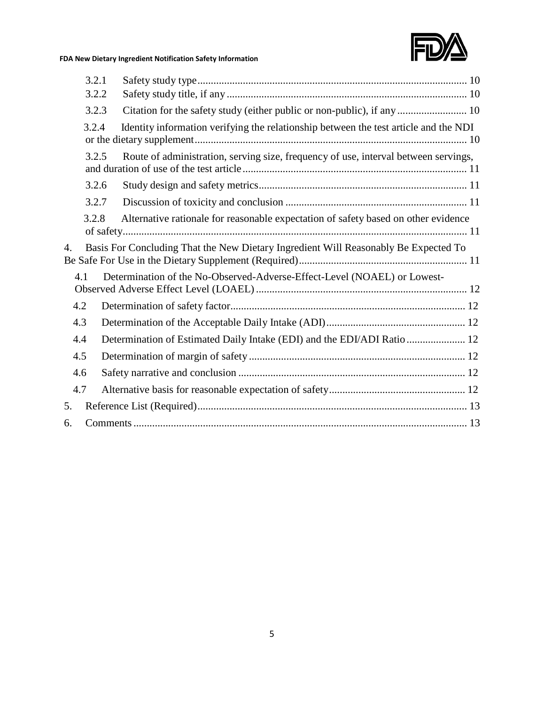

|              | 3.2.1 |                                                                                      |  |
|--------------|-------|--------------------------------------------------------------------------------------|--|
|              | 3.2.2 |                                                                                      |  |
|              | 3.2.3 |                                                                                      |  |
|              | 3.2.4 | Identity information verifying the relationship between the test article and the NDI |  |
|              | 3.2.5 | Route of administration, serving size, frequency of use, interval between servings,  |  |
|              | 3.2.6 |                                                                                      |  |
|              | 3.2.7 |                                                                                      |  |
|              | 3.2.8 | Alternative rationale for reasonable expectation of safety based on other evidence   |  |
| $\mathbf{4}$ |       | Basis For Concluding That the New Dietary Ingredient Will Reasonably Be Expected To  |  |
| 4.1          |       | Determination of the No-Observed-Adverse-Effect-Level (NOAEL) or Lowest-             |  |
| 4.2          |       |                                                                                      |  |
| 4.3          |       |                                                                                      |  |
| 4.4          |       | Determination of Estimated Daily Intake (EDI) and the EDI/ADI Ratio  12              |  |
| 4.5          |       |                                                                                      |  |
| 4.6          |       |                                                                                      |  |
| 4.7          |       |                                                                                      |  |
| 5.           |       |                                                                                      |  |
| 6.           |       |                                                                                      |  |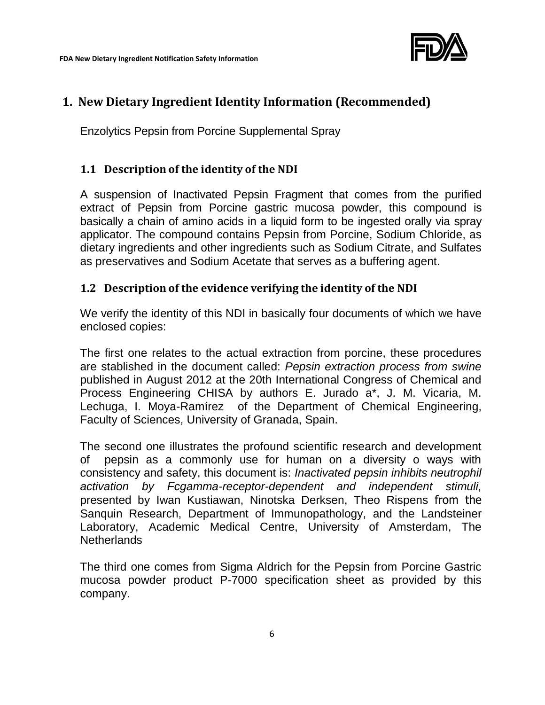

#### **1. New Dietary Ingredient Identity Information (Recommended)**

Enzolytics Pepsin from Porcine Supplemental Spray

#### **1.1 Description of the identity of the NDI**

A suspension of Inactivated Pepsin Fragment that comes from the purified extract of Pepsin from Porcine gastric mucosa powder, this compound is basically a chain of amino acids in a liquid form to be ingested orally via spray applicator. The compound contains Pepsin from Porcine, Sodium Chloride, as dietary ingredients and other ingredients such as Sodium Citrate, and Sulfates as preservatives and Sodium Acetate that serves as a buffering agent.

#### **1.2 Description of the evidence verifying the identity of the NDI**

We verify the identity of this NDI in basically four documents of which we have enclosed copies:

The first one relates to the actual extraction from porcine, these procedures are stablished in the document called: *Pepsin extraction process from swine* published in August 2012 at the 20th International Congress of Chemical and Process Engineering CHISA by authors E. Jurado a\*, J. M. Vicaria, M. Lechuga, I. Moya-Ramírez of the Department of Chemical Engineering, Faculty of Sciences, University of Granada, Spain.

The second one illustrates the profound scientific research and development of pepsin as a commonly use for human on a diversity o ways with consistency and safety, this document is: *Inactivated pepsin inhibits neutrophil activation by Fcgamma-receptor-dependent and independent stimuli,*  presented by Iwan Kustiawan, Ninotska Derksen, Theo Rispens from the Sanquin Research, Department of Immunopathology, and the Landsteiner Laboratory, Academic Medical Centre, University of Amsterdam, The **Netherlands** 

The third one comes from Sigma Aldrich for the Pepsin from Porcine Gastric mucosa powder product P-7000 specification sheet as provided by this company.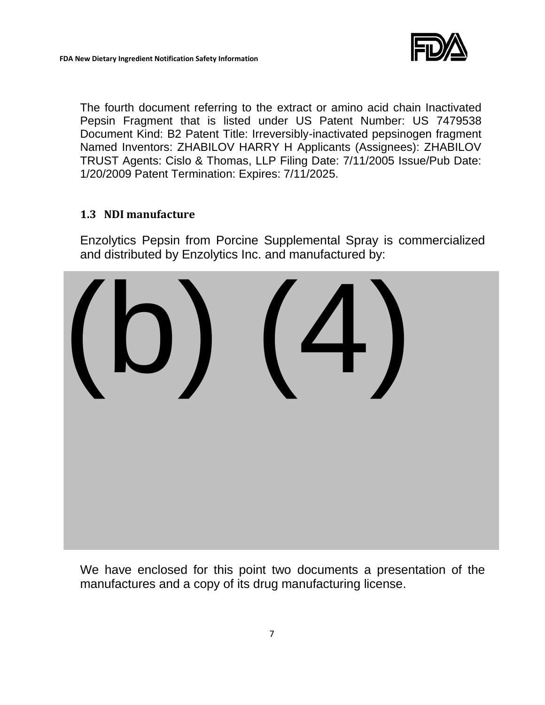

The fourth document referring to the extract or amino acid chain Inactivated Pepsin Fragment that is listed under US Patent Number: US 7479538 Document Kind: B2 Patent Title: Irreversibly-inactivated pepsinogen fragment Named Inventors: ZHABILOV HARRY H Applicants (Assignees): ZHABILOV TRUST Agents: Cislo & Thomas, LLP Filing Date: 7/11/2005 Issue/Pub Date: 1/20/2009 Patent Termination: Expires: 7/11/2025.

#### **1.3 NDI manufacture**

Enzolytics Pepsin from Porcine Supplemental Spray is commercialized and distributed by Enzolytics Inc. and manufactured by:



We have enclosed for this point two documents a presentation of the manufactures and a copy of its drug manufacturing license.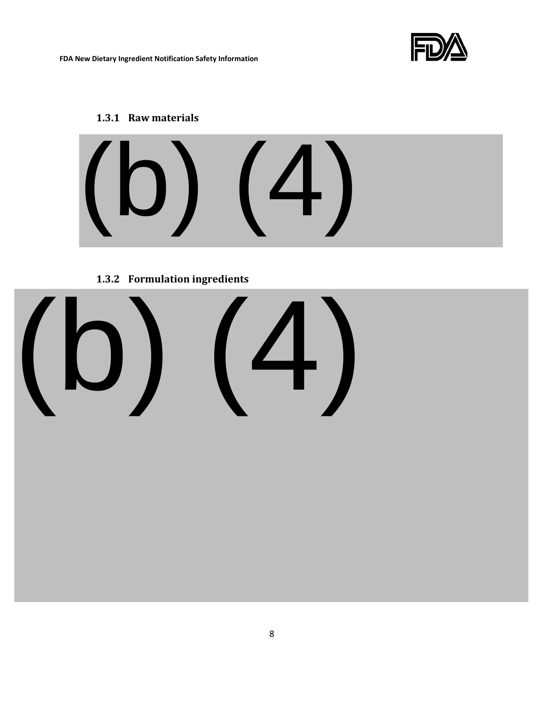

#### **1.3.1 Raw materials**



#### **1.3.2 Formulation ingredients**

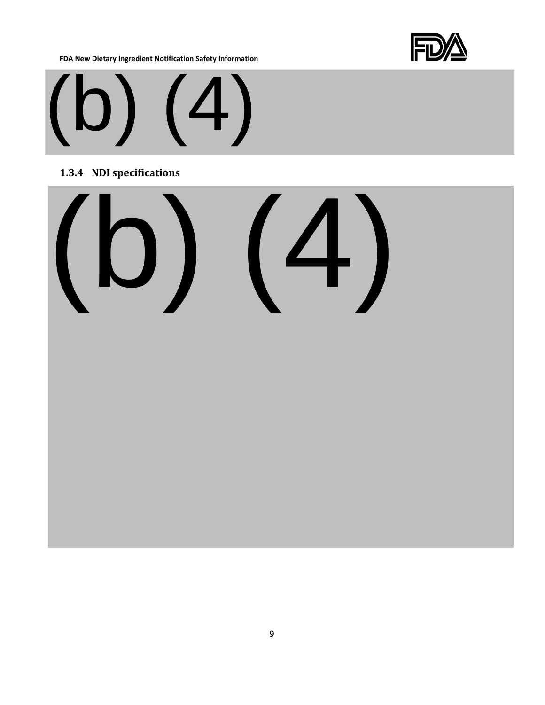

# (b) (4)

#### **1.3.4 NDI specifications**

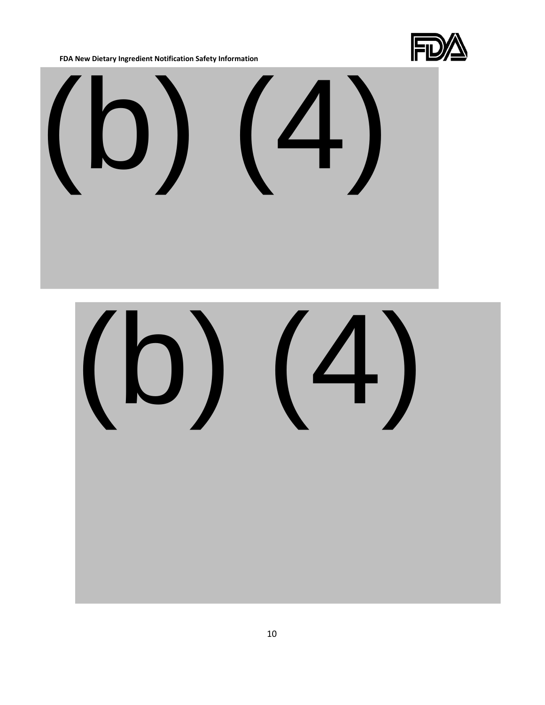

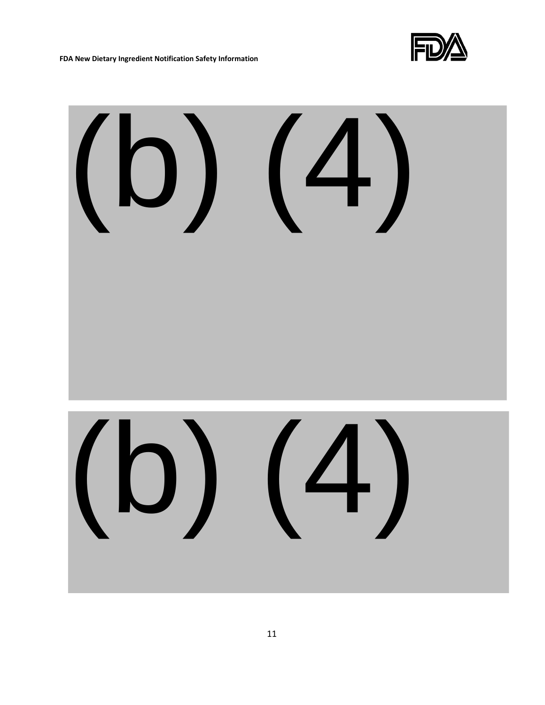

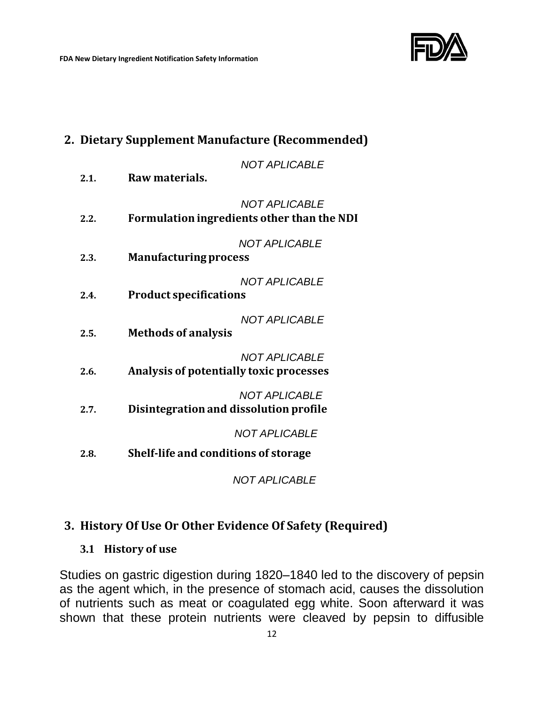

### **2. Dietary Supplement Manufacture (Recommended)** *NOT APLICABLE* **2.1. Raw materials.** *NOT APLICABLE* **2.2. Formulation ingredients other than the NDI** *NOT APLICABLE* **2.3. Manufacturingprocess**  *NOT APLICABLE* **2.4. Product specifications** *NOT APLICABLE* **2.5. Methods of analysis** *NOT APLICABLE* **2.6. Analysis of potentially toxic processes** *NOT APLICABLE* **2.7. Disintegration and dissolution profile** *NOT APLICABLE* **2.8. Shelf-life and conditions of storage** *NOT APLICABLE*

#### **3. History Of Use Or Other Evidence Of Safety (Required)**

#### **3.1 History of use**

Studies on gastric digestion during 1820–1840 led to the discovery of pepsin as the agent which, in the presence of stomach acid, causes the dissolution of nutrients such as meat or coagulated egg white. Soon afterward it was shown that these protein nutrients were cleaved by pepsin to diffusible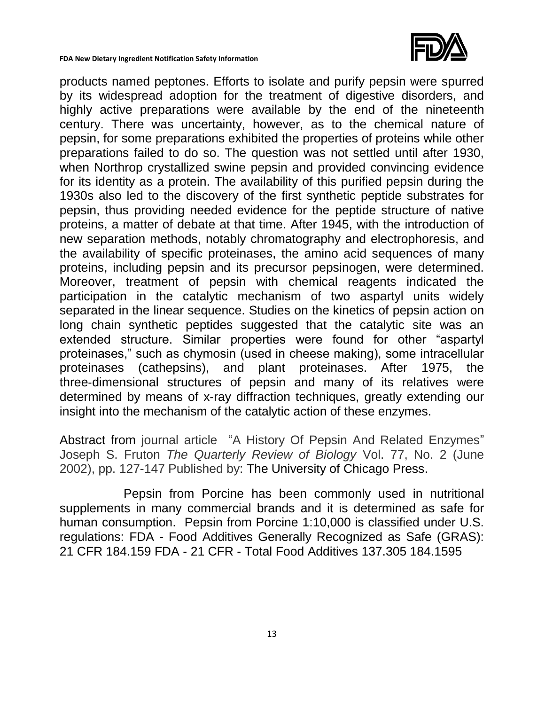

products named peptones. Efforts to isolate and purify pepsin were spurred by its widespread adoption for the treatment of digestive disorders, and highly active preparations were available by the end of the nineteenth century. There was uncertainty, however, as to the chemical nature of pepsin, for some preparations exhibited the properties of proteins while other preparations failed to do so. The question was not settled until after 1930, when Northrop crystallized swine pepsin and provided convincing evidence for its identity as a protein. The availability of this purified pepsin during the 1930s also led to the discovery of the first synthetic peptide substrates for pepsin, thus providing needed evidence for the peptide structure of native proteins, a matter of debate at that time. After 1945, with the introduction of new separation methods, notably chromatography and electrophoresis, and the availability of specific proteinases, the amino acid sequences of many proteins, including pepsin and its precursor pepsinogen, were determined. Moreover, treatment of pepsin with chemical reagents indicated the participation in the catalytic mechanism of two aspartyl units widely separated in the linear sequence. Studies on the kinetics of pepsin action on long chain synthetic peptides suggested that the catalytic site was an extended structure. Similar properties were found for other "aspartyl proteinases," such as chymosin (used in cheese making), some intracellular proteinases (cathepsins), and plant proteinases. After 1975, the three‐dimensional structures of pepsin and many of its relatives were determined by means of x‐ray diffraction techniques, greatly extending our insight into the mechanism of the catalytic action of these enzymes.

Abstract from journal article "A History Of Pepsin And Related Enzymes" Joseph S. Fruton *The Quarterly Review of Biology* Vol. 77, No. 2 (June 2002), pp. 127-147 Published by: The University of Chicago Press.

Pepsin from Porcine has been commonly used in nutritional supplements in many commercial brands and it is determined as safe for human consumption. Pepsin from Porcine 1:10,000 is classified under U.S. regulations: FDA - Food Additives Generally Recognized as Safe (GRAS): 21 CFR 184.159 FDA - 21 CFR - Total Food Additives 137.305 184.1595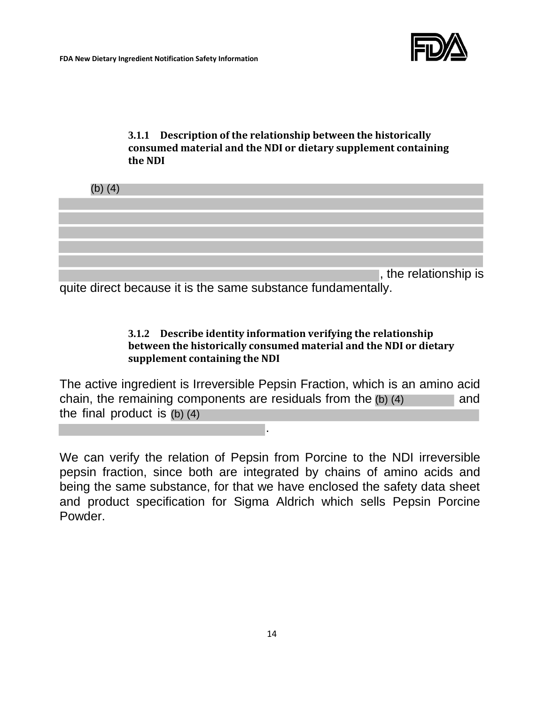#### **3.1.1 Description of the relationship between the historically consumed material and the NDI or dietary supplement containing the NDI**

| (b) $(4)$ |  |                       |  |
|-----------|--|-----------------------|--|
|           |  |                       |  |
|           |  |                       |  |
|           |  |                       |  |
|           |  |                       |  |
|           |  |                       |  |
|           |  | , the relationship is |  |

quite direct because it is the same substance fundamentally.

#### **3.1.2 Describe identity information verifying the relationship between the historically consumed material and the NDI or dietary supplement containing the NDI**

The active ingredient is Irreversible Pepsin Fraction, which is an amino acid chain, the remaining components are residuals from the  $(b)$   $(4)$  and the final product is (b) (4).

We can verify the relation of Pepsin from Porcine to the NDI irreversible pepsin fraction, since both are integrated by chains of amino acids and being the same substance, for that we have enclosed the safety data sheet and product specification for Sigma Aldrich which sells Pepsin Porcine Powder.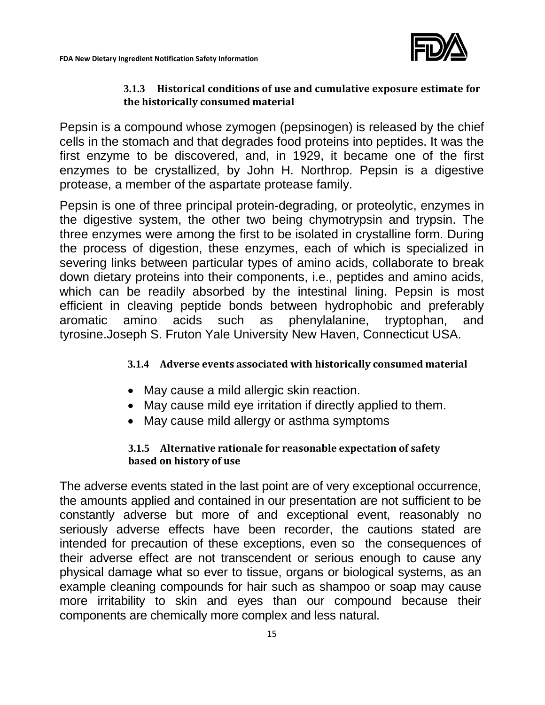

#### **3.1.3 Historical conditions of use and cumulative exposure estimate for the historically consumed material**

Pepsin is a compound whose zymogen (pepsinogen) is released by the chief cells in the stomach and that degrades food proteins into peptides. It was the first enzyme to be discovered, and, in 1929, it became one of the first enzymes to be crystallized, by John H. Northrop. Pepsin is a digestive protease, a member of the aspartate protease family.

Pepsin is one of three principal protein-degrading, or proteolytic, enzymes in the digestive system, the other two being chymotrypsin and trypsin. The three enzymes were among the first to be isolated in crystalline form. During the process of digestion, these enzymes, each of which is specialized in severing links between particular types of amino acids, collaborate to break down dietary proteins into their components, i.e., peptides and amino acids, which can be readily absorbed by the intestinal lining. Pepsin is most efficient in cleaving peptide bonds between hydrophobic and preferably aromatic amino acids such as phenylalanine, tryptophan, and tyrosine.Joseph S. Fruton Yale University New Haven, Connecticut USA.

#### **3.1.4 Adverse events associated with historically consumed material**

- May cause a mild allergic skin reaction.
- May cause mild eye irritation if directly applied to them.
- May cause mild allergy or asthma symptoms

#### **3.1.5 Alternative rationale for reasonable expectation of safety based on history of use**

The adverse events stated in the last point are of very exceptional occurrence, the amounts applied and contained in our presentation are not sufficient to be constantly adverse but more of and exceptional event, reasonably no seriously adverse effects have been recorder, the cautions stated are intended for precaution of these exceptions, even so the consequences of their adverse effect are not transcendent or serious enough to cause any physical damage what so ever to tissue, organs or biological systems, as an example cleaning compounds for hair such as shampoo or soap may cause more irritability to skin and eyes than our compound because their components are chemically more complex and less natural.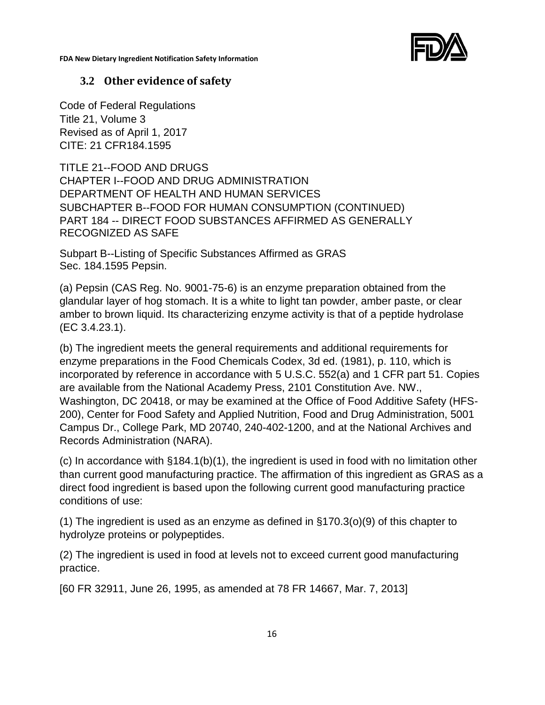



#### **3.2 Other evidence of safety**

Code of Federal Regulations Title 21, Volume 3 Revised as of April 1, 2017 CITE: 21 CFR184.1595

TITLE 21--FOOD AND DRUGS CHAPTER I--FOOD AND DRUG ADMINISTRATION DEPARTMENT OF HEALTH AND HUMAN SERVICES SUBCHAPTER B--FOOD FOR HUMAN CONSUMPTION (CONTINUED) PART 184 -- DIRECT FOOD SUBSTANCES AFFIRMED AS GENERALLY RECOGNIZED AS SAFE

Subpart B--Listing of Specific Substances Affirmed as GRAS Sec. 184.1595 Pepsin.

(a) Pepsin (CAS Reg. No. 9001-75-6) is an enzyme preparation obtained from the glandular layer of hog stomach. It is a white to light tan powder, amber paste, or clear amber to brown liquid. Its characterizing enzyme activity is that of a peptide hydrolase (EC 3.4.23.1).

(b) The ingredient meets the general requirements and additional requirements for enzyme preparations in the Food Chemicals Codex, 3d ed. (1981), p. 110, which is incorporated by reference in accordance with 5 U.S.C. 552(a) and 1 CFR part 51. Copies are available from the National Academy Press, 2101 Constitution Ave. NW., Washington, DC 20418, or may be examined at the Office of Food Additive Safety (HFS-200), Center for Food Safety and Applied Nutrition, Food and Drug Administration, 5001 Campus Dr., College Park, MD 20740, 240-402-1200, and at the National Archives and Records Administration (NARA).

(c) In accordance with §184.1(b)(1), the ingredient is used in food with no limitation other than current good manufacturing practice. The affirmation of this ingredient as GRAS as a direct food ingredient is based upon the following current good manufacturing practice conditions of use:

(1) The ingredient is used as an enzyme as defined in §170.3(o)(9) of this chapter to hydrolyze proteins or polypeptides.

(2) The ingredient is used in food at levels not to exceed current good manufacturing practice.

[60 FR 32911, June 26, 1995, as amended at 78 FR 14667, Mar. 7, 2013]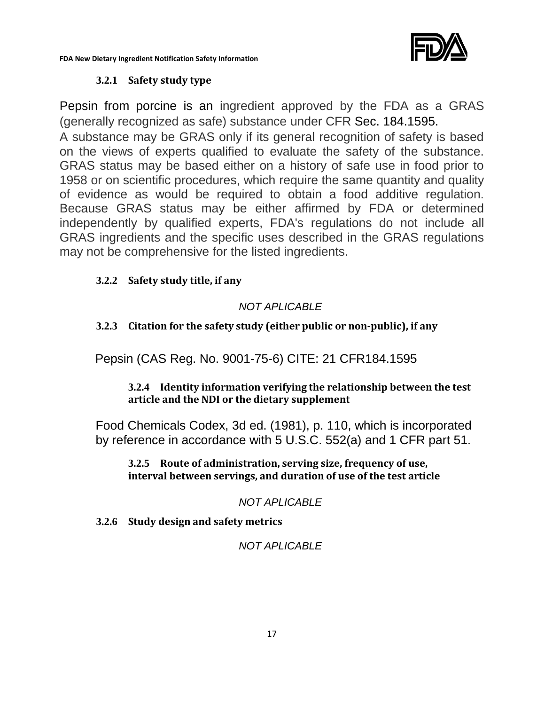

#### **3.2.1 Safety study type**

Pepsin from porcine is an ingredient approved by the FDA as a GRAS (generally recognized as safe) substance under CFR Sec. 184.1595.

A substance may be GRAS only if its general recognition of safety is based on the views of experts qualified to evaluate the safety of the substance. GRAS status may be based either on a history of safe use in food prior to 1958 or on scientific procedures, which require the same quantity and quality of evidence as would be required to obtain a food additive regulation. Because GRAS status may be either affirmed by FDA or determined independently by qualified experts, FDA's regulations do not include all GRAS ingredients and the specific uses described in the GRAS regulations may not be comprehensive for the listed ingredients.

#### **3.2.2 Safety study title, if any**

#### *NOT APLICABLE*

#### **3.2.3 Citation for the safety study (either public or non-public), if any**

Pepsin (CAS Reg. No. 9001-75-6) CITE: 21 CFR184.1595

#### **3.2.4 Identity information verifying the relationship between the test article and the NDI or the dietary supplement**

Food Chemicals Codex, 3d ed. (1981), p. 110, which is incorporated by reference in accordance with 5 U.S.C. 552(a) and 1 CFR part 51.

**3.2.5 Route of administration, serving size, frequency of use, interval between servings, and duration of use of the test article**

*NOT APLICABLE*

**3.2.6 Study design and safety metrics**

*NOT APLICABLE*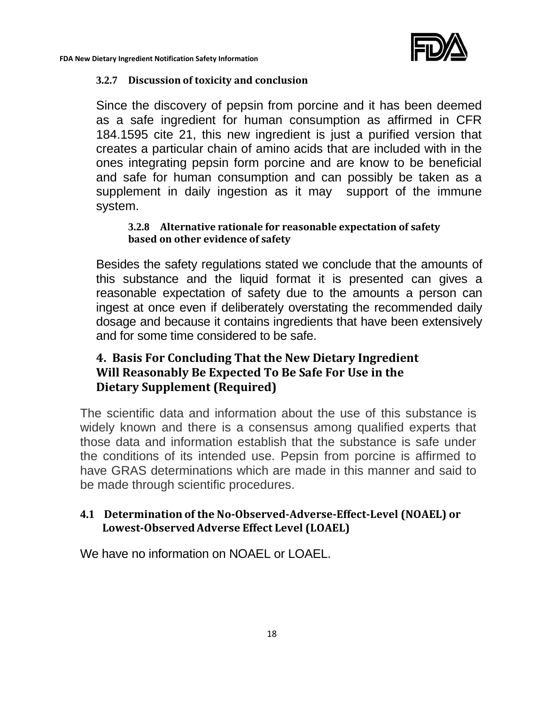#### **3.2.7 Discussion of toxicity and conclusion**

Since the discovery of pepsin from porcine and it has been deemed as a safe ingredient for human consumption as affirmed in CFR 184.1595 cite 21, this new ingredient is just a purified version that creates a particular chain of amino acids that are included with in the ones integrating pepsin form porcine and are know to be beneficial and safe for human consumption and can possibly be taken as a supplement in daily ingestion as it may support of the immune system.

#### **3.2.8 Alternative rationale for reasonable expectation of safety based on other evidence of safety**

Besides the safety regulations stated we conclude that the amounts of this substance and the liquid format it is presented can gives a reasonable expectation of safety due to the amounts a person can ingest at once even if deliberately overstating the recommended daily dosage and because it contains ingredients that have been extensively and for some time considered to be safe.

#### **4. Basis For Concluding That the New Dietary Ingredient Will Reasonably Be Expected To Be Safe For Use in the Dietary Supplement (Required)**

The scientific data and information about the use of this substance is widely known and there is a consensus among qualified experts that those data and information establish that the substance is safe under the conditions of its intended use. Pepsin from porcine is affirmed to have GRAS determinations which are made in this manner and said to be made through scientific procedures.

#### **4.1 Determination of the No-Observed-Adverse-Effect-Level (NOAEL) or Lowest-ObservedAdverse Effect Level (LOAEL)**

We have no information on NOAEL or LOAEL.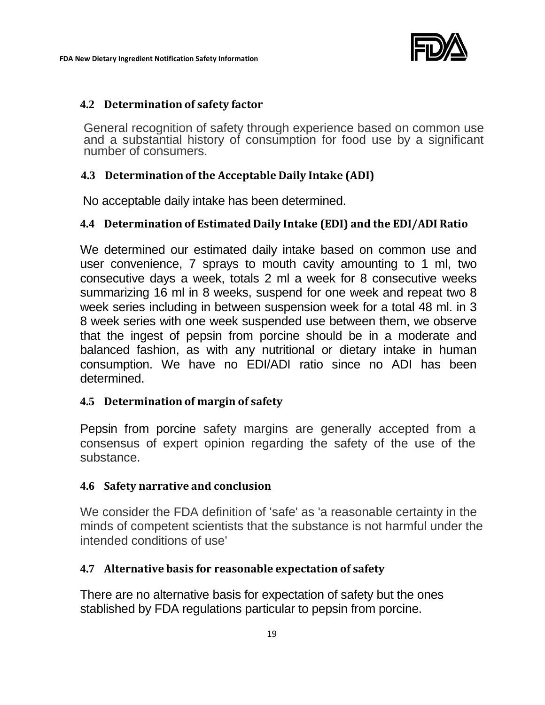

#### **4.2 Determination of safety factor**

General recognition of safety through experience based on common use and a substantial history of consumption for food use by a significant number of consumers.

#### **4.3 Determination of the Acceptable Daily Intake (ADI)**

No acceptable daily intake has been determined.

#### **4.4 Determination of Estimated Daily Intake (EDI) and the EDI/ADI Ratio**

We determined our estimated daily intake based on common use and user convenience, 7 sprays to mouth cavity amounting to 1 ml, two consecutive days a week, totals 2 ml a week for 8 consecutive weeks summarizing 16 ml in 8 weeks, suspend for one week and repeat two 8 week series including in between suspension week for a total 48 ml. in 3 8 week series with one week suspended use between them, we observe that the ingest of pepsin from porcine should be in a moderate and balanced fashion, as with any nutritional or dietary intake in human consumption. We have no EDI/ADI ratio since no ADI has been determined.

#### **4.5 Determination of margin of safety**

Pepsin from porcine safety margins are generally accepted from a consensus of expert opinion regarding the safety of the use of the substance.

#### **4.6 Safety narrative and conclusion**

We consider the FDA definition of 'safe' as 'a reasonable certainty in the minds of competent scientists that the substance is not harmful under the intended conditions of use'

#### **4.7 Alternative basis for reasonable expectation of safety**

There are no alternative basis for expectation of safety but the ones stablished by FDA regulations particular to pepsin from porcine.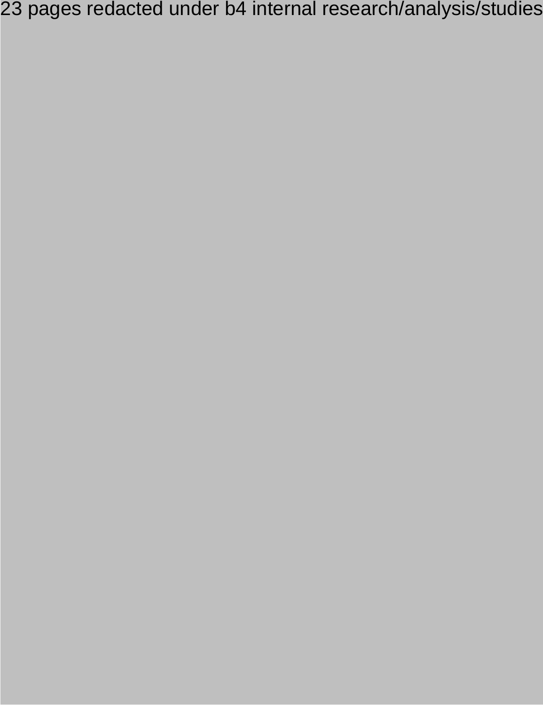23 pages redacted under b4 internal research/analysis/studies